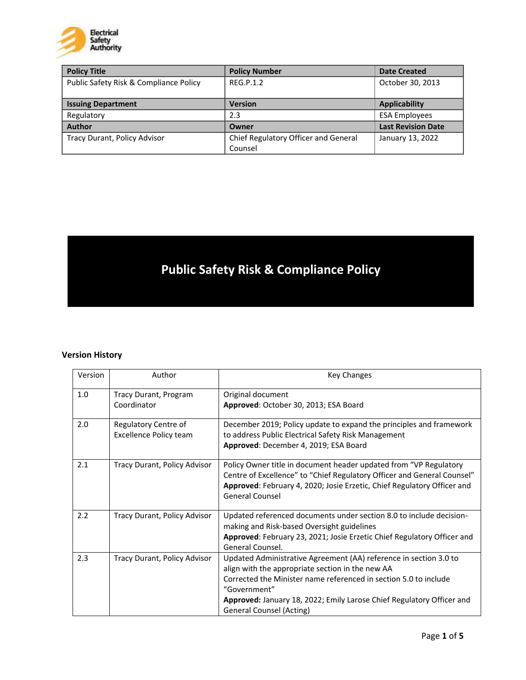

| <b>Policy Title</b>                    | <b>Policy Number</b>                 | <b>Date Created</b>       |
|----------------------------------------|--------------------------------------|---------------------------|
| Public Safety Risk & Compliance Policy | RFG.P.1.2                            | October 30, 2013          |
|                                        |                                      |                           |
| <b>Issuing Department</b>              | <b>Version</b>                       | <b>Applicability</b>      |
| Regulatory                             | 2.3                                  | <b>ESA Employees</b>      |
| <b>Author</b>                          | Owner                                | <b>Last Revision Date</b> |
| Tracy Durant, Policy Advisor           | Chief Regulatory Officer and General | January 13, 2022          |
|                                        | Counsel                              |                           |

# **Public Safety Risk & Compliance Policy**

# **Version History**

| Version | Author                                                | <b>Key Changes</b>                                                                                                                                                                                                                                                                                             |
|---------|-------------------------------------------------------|----------------------------------------------------------------------------------------------------------------------------------------------------------------------------------------------------------------------------------------------------------------------------------------------------------------|
| 1.0     | Tracy Durant, Program<br>Coordinator                  | Original document<br>Approved: October 30, 2013; ESA Board                                                                                                                                                                                                                                                     |
| 2.0     | Regulatory Centre of<br><b>Excellence Policy team</b> | December 2019; Policy update to expand the principles and framework<br>to address Public Electrical Safety Risk Management<br>Approved: December 4, 2019; ESA Board                                                                                                                                            |
| 2.1     | Tracy Durant, Policy Advisor                          | Policy Owner title in document header updated from "VP Regulatory<br>Centre of Excellence" to "Chief Regulatory Officer and General Counsel"<br>Approved: February 4, 2020; Josie Erzetic, Chief Regulatory Officer and<br><b>General Counsel</b>                                                              |
| 2.2     | Tracy Durant, Policy Advisor                          | Updated referenced documents under section 8.0 to include decision-<br>making and Risk-based Oversight guidelines<br>Approved: February 23, 2021; Josie Erzetic Chief Regulatory Officer and<br>General Counsel.                                                                                               |
| 2.3     | Tracy Durant, Policy Advisor                          | Updated Administrative Agreement (AA) reference in section 3.0 to<br>align with the appropriate section in the new AA<br>Corrected the Minister name referenced in section 5.0 to include<br>"Government"<br>Approved: January 18, 2022; Emily Larose Chief Regulatory Officer and<br>General Counsel (Acting) |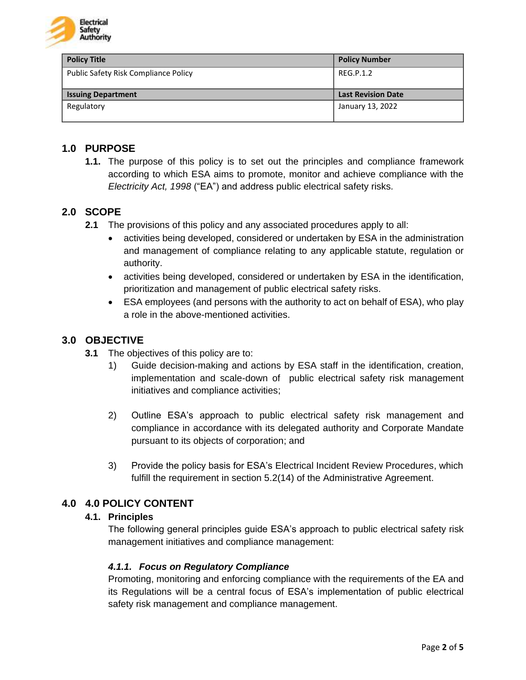

| <b>Policy Title</b>                         | <b>Policy Number</b>      |
|---------------------------------------------|---------------------------|
| <b>Public Safety Risk Compliance Policy</b> | REG.P.1.2                 |
|                                             |                           |
| <b>Issuing Department</b>                   | <b>Last Revision Date</b> |
| Regulatory                                  | January 13, 2022          |
|                                             |                           |

## **1.0 PURPOSE**

**1.1.** The purpose of this policy is to set out the principles and compliance framework according to which ESA aims to promote, monitor and achieve compliance with the *Electricity Act, 1998* ("EA") and address public electrical safety risks.

## **2.0 SCOPE**

- **2.1** The provisions of this policy and any associated procedures apply to all:
	- activities being developed, considered or undertaken by ESA in the administration and management of compliance relating to any applicable statute, regulation or authority.
	- activities being developed, considered or undertaken by ESA in the identification, prioritization and management of public electrical safety risks.
	- ESA employees (and persons with the authority to act on behalf of ESA), who play a role in the above-mentioned activities.

## **3.0 OBJECTIVE**

- **3.1** The objectives of this policy are to:
	- 1) Guide decision-making and actions by ESA staff in the identification, creation, implementation and scale-down of public electrical safety risk management initiatives and compliance activities;
	- 2) Outline ESA's approach to public electrical safety risk management and compliance in accordance with its delegated authority and Corporate Mandate pursuant to its objects of corporation; and
	- 3) Provide the policy basis for ESA's Electrical Incident Review Procedures, which fulfill the requirement in section 5.2(14) of the Administrative Agreement.

# **4.0 4.0 POLICY CONTENT**

## **4.1. Principles**

The following general principles guide ESA's approach to public electrical safety risk management initiatives and compliance management:

#### *4.1.1. Focus on Regulatory Compliance*

Promoting, monitoring and enforcing compliance with the requirements of the EA and its Regulations will be a central focus of ESA's implementation of public electrical safety risk management and compliance management.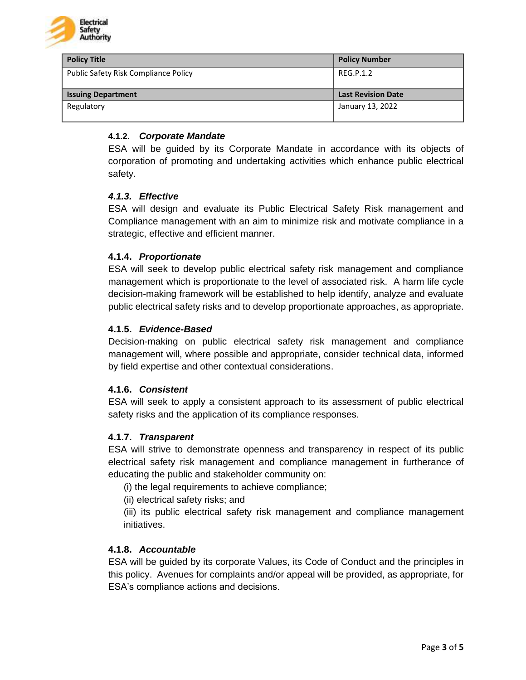

| <b>Policy Title</b>                  | <b>Policy Number</b>      |
|--------------------------------------|---------------------------|
| Public Safety Risk Compliance Policy | REG.P.1.2                 |
|                                      |                           |
| <b>Issuing Department</b>            | <b>Last Revision Date</b> |
| Regulatory                           | January 13, 2022          |
|                                      |                           |

## **4.1.2.** *Corporate Mandate*

ESA will be guided by its Corporate Mandate in accordance with its objects of corporation of promoting and undertaking activities which enhance public electrical safety.

#### *4.1.3. Effective*

ESA will design and evaluate its Public Electrical Safety Risk management and Compliance management with an aim to minimize risk and motivate compliance in a strategic, effective and efficient manner.

#### **4.1.4.** *Proportionate*

ESA will seek to develop public electrical safety risk management and compliance management which is proportionate to the level of associated risk. A harm life cycle decision-making framework will be established to help identify, analyze and evaluate public electrical safety risks and to develop proportionate approaches, as appropriate.

#### **4.1.5.** *Evidence-Based*

Decision-making on public electrical safety risk management and compliance management will, where possible and appropriate, consider technical data, informed by field expertise and other contextual considerations.

#### **4.1.6.** *Consistent*

ESA will seek to apply a consistent approach to its assessment of public electrical safety risks and the application of its compliance responses.

#### **4.1.7.** *Transparent*

ESA will strive to demonstrate openness and transparency in respect of its public electrical safety risk management and compliance management in furtherance of educating the public and stakeholder community on:

(i) the legal requirements to achieve compliance;

(ii) electrical safety risks; and

(iii) its public electrical safety risk management and compliance management initiatives.

#### **4.1.8.** *Accountable*

ESA will be guided by its corporate Values, its Code of Conduct and the principles in this policy. Avenues for complaints and/or appeal will be provided, as appropriate, for ESA's compliance actions and decisions.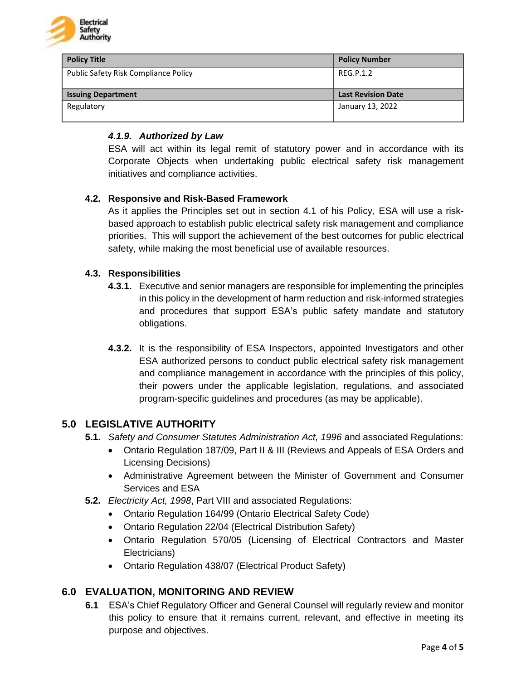

| <b>Policy Title</b>                  | <b>Policy Number</b>      |
|--------------------------------------|---------------------------|
| Public Safety Risk Compliance Policy | REG.P.1.2                 |
|                                      |                           |
| <b>Issuing Department</b>            | <b>Last Revision Date</b> |
| Regulatory                           | January 13, 2022          |
|                                      |                           |

## *4.1.9. Authorized by Law*

ESA will act within its legal remit of statutory power and in accordance with its Corporate Objects when undertaking public electrical safety risk management initiatives and compliance activities.

## **4.2. Responsive and Risk-Based Framework**

As it applies the Principles set out in section 4.1 of his Policy, ESA will use a riskbased approach to establish public electrical safety risk management and compliance priorities. This will support the achievement of the best outcomes for public electrical safety, while making the most beneficial use of available resources.

## **4.3. Responsibilities**

- **4.3.1.** Executive and senior managers are responsible for implementing the principles in this policy in the development of harm reduction and risk-informed strategies and procedures that support ESA's public safety mandate and statutory obligations.
- **4.3.2.** It is the responsibility of ESA Inspectors, appointed Investigators and other ESA authorized persons to conduct public electrical safety risk management and compliance management in accordance with the principles of this policy, their powers under the applicable legislation, regulations, and associated program-specific guidelines and procedures (as may be applicable).

# **5.0 LEGISLATIVE AUTHORITY**

- **5.1.** *Safety and Consumer Statutes Administration Act, 1996* and associated Regulations:
	- Ontario Regulation 187/09, Part II & III (Reviews and Appeals of ESA Orders and Licensing Decisions)
	- Administrative Agreement between the Minister of Government and Consumer Services and ESA
- **5.2.** *Electricity Act, 1998*, Part VIII and associated Regulations:
	- Ontario Regulation 164/99 (Ontario Electrical Safety Code)
	- Ontario Regulation 22/04 (Electrical Distribution Safety)
	- Ontario Regulation 570/05 (Licensing of Electrical Contractors and Master Electricians)
	- Ontario Regulation 438/07 (Electrical Product Safety)

# **6.0 EVALUATION, MONITORING AND REVIEW**

**6.1** ESA's Chief Regulatory Officer and General Counsel will regularly review and monitor this policy to ensure that it remains current, relevant, and effective in meeting its purpose and objectives.